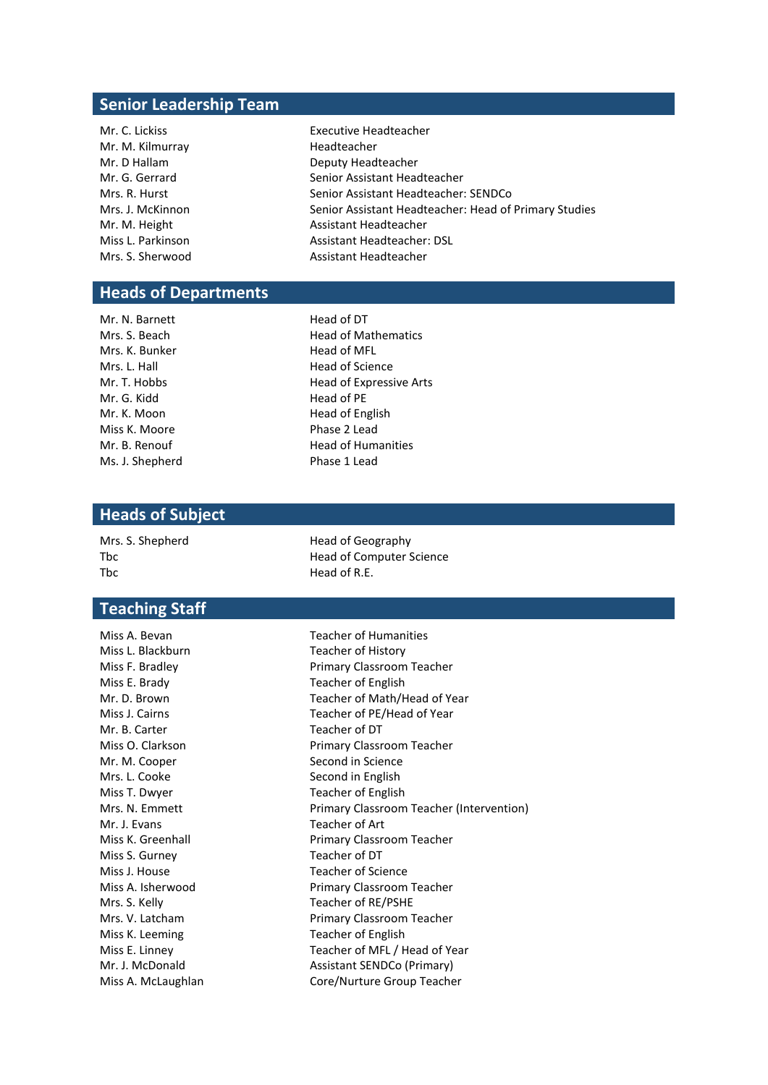## **Senior Leadership Team**

| <b>Executive Headteacher</b>                          |
|-------------------------------------------------------|
| Headteacher                                           |
| Deputy Headteacher                                    |
| Senior Assistant Headteacher                          |
| Senior Assistant Headteacher: SENDCo                  |
| Senior Assistant Headteacher: Head of Primary Studies |
| Assistant Headteacher                                 |
| <b>Assistant Headteacher: DSL</b>                     |
| Assistant Headteacher                                 |
|                                                       |

# **Heads of Departments**

| Mr. N. Barnett  |
|-----------------|
| Mrs. S. Beach   |
| Mrs. K. Bunker  |
| Mrs. L. Hall    |
| Mr. T. Hobbs    |
| Mr. G. Kidd     |
| Mr. K. Moon     |
| Miss K. Moore   |
| Mr. B. Renouf   |
| Ms. J. Shepherd |

Head of DT Head of Mathematics Head of MFL Head of Science Head of Expressive Arts Head of PE Head of English Phase 2 Lead Head of Humanities Is. J. Shepherd **Phase 1 Lead** 

### **Heads of Subject**

Mrs. S. Shepherd Head of Geography The Head of R.E.

### **Teaching Staff**

Miss L. Blackburn Teacher of History Miss E. Brady Teacher of English Mr. B. Carter Teacher of DT Mr. M. Cooper Second in Science Mrs. L. Cooke Second in English Miss T. Dwyer Teacher of English Mr. J. Evans Teacher of Art Miss S. Gurney Teacher of DT Miss J. House Teacher of Science Miss K. Leeming Teacher of English

Tbc The Head of Computer Science

Miss A. Bevan Teacher of Humanities Miss F. Bradley **Primary Classroom Teacher** Mr. D. Brown Teacher of Math/Head of Year Miss J. Cairns Teacher of PE/Head of Year Miss O. Clarkson **Primary Classroom Teacher** Mrs. N. Emmett **Primary Classroom Teacher (Intervention)** Miss K. Greenhall **Primary Classroom Teacher** Miss A. Isherwood **Primary Classroom Teacher** Mrs. S. Kelly Teacher of RE/PSHE Mrs. V. Latcham Primary Classroom Teacher Miss E. Linney Teacher of MFL / Head of Year Mr. J. McDonald **Assistant SENDCo (Primary)** Miss A. McLaughlan Core/Nurture Group Teacher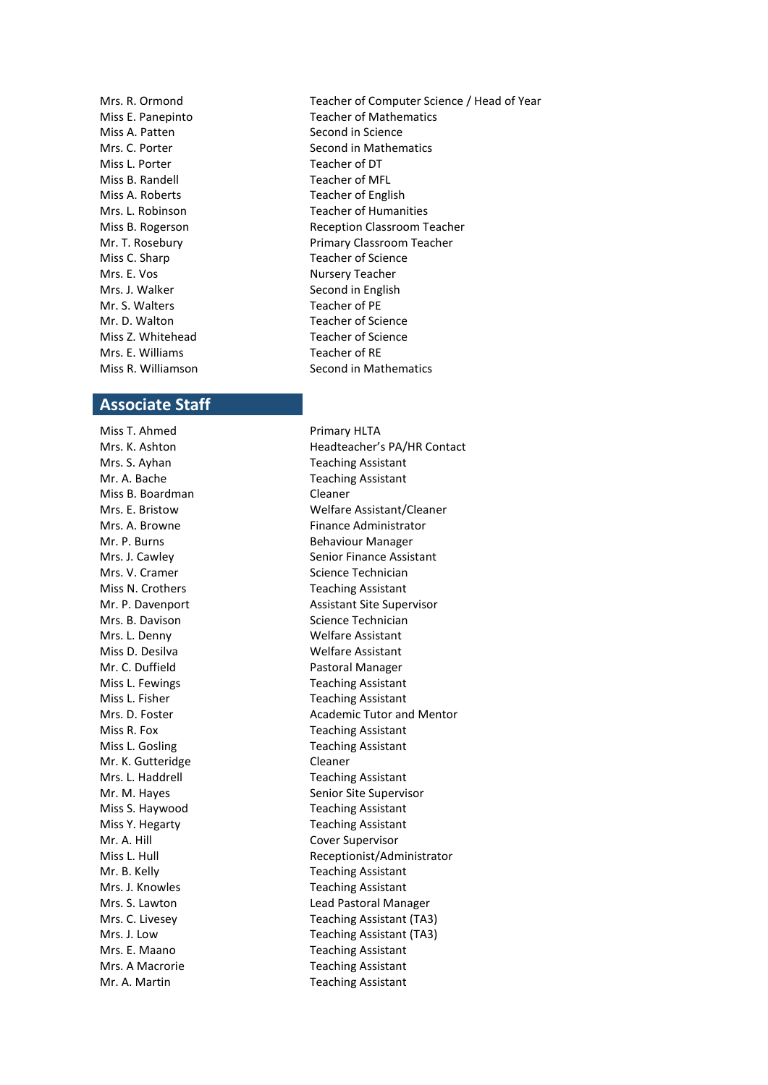Miss A. Patten Second in Science Miss L. Porter Teacher of DT Miss B. Randell Teacher of MFL Miss A. Roberts Teacher of English Miss C. Sharp Teacher of Science Mrs. E. Vos **Nursery Teacher** Mrs. J. Walker Second in English Mr. S. Walters Teacher of PE Mr. D. Walton Teacher of Science Miss Z. Whitehead Teacher of Science Mrs. E. Williams Teacher of RE

### **Associate Staff**

Miss T. Ahmed Primary HLTA Miss B. Boardman Cleaner Mrs. L. Denny Welfare Assistant Miss D. Desilva Welfare Assistant Mr. C. Duffield **Pastoral Manager** Miss R. Fox Teaching Assistant Miss L. Gosling Teaching Assistant Mr. K. Gutteridge Cleaner Miss Y. Hegarty **Teaching Assistant** Mr. A. Hill Cover Supervisor Mrs. J. Knowles Teaching Assistant Mrs. A Macrorie Teaching Assistant Mr. A. Martin **Teaching Assistant** 

Mrs. R. Ormond Teacher of Computer Science / Head of Year Miss E. Panepinto Teacher of Mathematics Mrs. C. Porter Second in Mathematics Mrs. L. Robinson **Teacher of Humanities** Miss B. Rogerson Reception Classroom Teacher Mr. T. Rosebury **Primary Classroom Teacher** Miss R. Williamson Second in Mathematics

Mrs. K. Ashton **Headteacher's PA/HR Contact** Mrs. S. Ayhan Teaching Assistant Mr. A. Bache Teaching Assistant Mrs. E. Bristow Welfare Assistant/Cleaner Mrs. A. Browne **Finance Administrator** Mr. P. Burns Behaviour Manager Mrs. J. Cawley Senior Finance Assistant Mrs. V. Cramer Science Technician Miss N. Crothers Teaching Assistant Mr. P. Davenport Assistant Site Supervisor Mrs. B. Davison Science Technician Miss L. Fewings Teaching Assistant Miss L. Fisher Teaching Assistant Mrs. D. Foster **Academic Tutor and Mentor** Academic Tutor and Mentor Mrs. L. Haddrell **Mrs.** L. Haddrell **New Strates** Teaching Assistant Mr. M. Hayes Senior Site Supervisor Miss S. Haywood Teaching Assistant Miss L. Hull **Miss L. Hull** Receptionist/Administrator Mr. B. Kelly **Teaching Assistant** Mrs. S. Lawton **Lead Pastoral Manager** Mrs. C. Livesey **Teaching Assistant (TA3)** Mrs. J. Low Teaching Assistant (TA3) Mrs. E. Maano Teaching Assistant